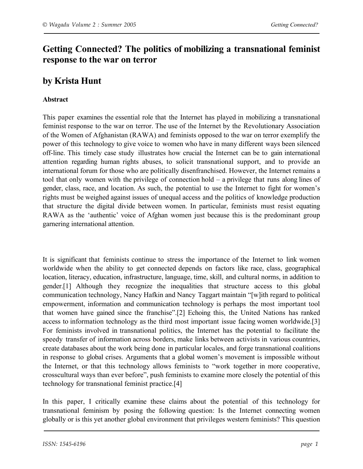# **Getting Connected? The politics of mobilizing a transnational feminist response to the war on terror**

## **by Krista Hunt**

#### **Abstract**

This paper examines the essential role that the Internet has played in mobilizing a transnational feminist response to the war on terror. The use of the Internet by the Revolutionary Association of the Women of Afghanistan (RAWA) and feminists opposed to the war on terror exemplify the power of this technology to give voice to women who have in many different ways been silenced off-line. This timely case study illustrates how crucial the Internet can be to gain international attention regarding human rights abuses, to solicit transnational support, and to provide an international forum for those who are politically disenfranchised. However, the Internet remains a tool that only women with the privilege of connection hold – a privilege that runs along lines of gender, class, race, and location. As such, the potential to use the Internet to fight for women's rights must be weighed against issues of unequal access and the politics of knowledge production that structure the digital divide between women. In particular, feminists must resist equating RAWA as the 'authentic' voice of Afghan women just because this is the predominant group garnering international attention.

It is significant that feminists continue to stress the importance of the Internet to link women worldwide when the ability to get connected depends on factors like race, class, geographical location, literacy, education, infrastructure, language, time, skill, and cultural norms, in addition to gender.[1] Although they recognize the inequalities that structure access to this global communication technology, Nancy Hafkin and Nancy Taggart maintain "[w]ith regard to political empowerment, information and communication technology is perhaps the most important tool that women have gained since the franchise".[2] Echoing this, the United Nations has ranked access to information technology as the third most important issue facing women worldwide.[3] For feminists involved in transnational politics, the Internet has the potential to facilitate the speedy transfer of information across borders, make links between activists in various countries, create databases about the work being done in particular locales, and forge transnational coalitions in response to global crises. Arguments that a global women's movement is impossible without the Internet, or that this technology allows feminists to "work together in more cooperative, crosscultural ways than ever before", push feminists to examine more closely the potential of this technology for transnational feminist practice.[4]

In this paper, I critically examine these claims about the potential of this technology for transnational feminism by posing the following question: Is the Internet connecting women globally or is this yet another global environment that privileges western feminists? This question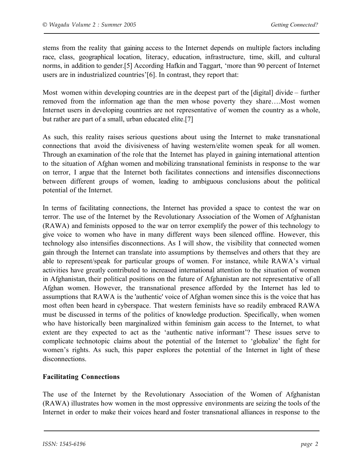stems from the reality that gaining access to the Internet depends on multiple factors including race, class, geographical location, literacy, education, infrastructure, time, skill, and cultural norms, in addition to gender.[5] According Hafkin and Taggart, 'more than 90 percent of Internet users are in industrialized countries'[6]. In contrast, they report that:

Most women within developing countries are in the deepest part of the [digital] divide – further removed from the information age than the men whose poverty they share….Most women Internet users in developing countries are not representative of women the country as a whole, but rather are part of a small, urban educated elite.[7]

As such, this reality raises serious questions about using the Internet to make transnational connections that avoid the divisiveness of having western/elite women speak for all women. Through an examination of the role that the Internet has played in gaining international attention to the situation of Afghan women and mobilizing transnational feminists in response to the war on terror, I argue that the Internet both facilitates connections and intensifies disconnections between different groups of women, leading to ambiguous conclusions about the political potential of the Internet.

In terms of facilitating connections, the Internet has provided a space to contest the war on terror. The use of the Internet by the Revolutionary Association of the Women of Afghanistan (RAWA) and feminists opposed to the war on terror exemplify the power of this technology to give voice to women who have in many different ways been silenced offline. However, this technology also intensifies disconnections. As I will show, the visibility that connected women gain through the Internet can translate into assumptions by themselves and others that they are able to represent/speak for particular groups of women. For instance, while RAWA's virtual activities have greatly contributed to increased international attention to the situation of women in Afghanistan, their political positions on the future of Afghanistan are not representative of all Afghan women. However, the transnational presence afforded by the Internet has led to assumptions that RAWA is the 'authentic' voice of Afghan women since this is the voice that has most often been heard in cyberspace. That western feminists have so readily embraced RAWA must be discussed in terms of the politics of knowledge production. Specifically, when women who have historically been marginalized within feminism gain access to the Internet, to what extent are they expected to act as the 'authentic native informant'? These issues serve to complicate technotopic claims about the potential of the Internet to 'globalize' the fight for women's rights. As such, this paper explores the potential of the Internet in light of these disconnections.

### **Facilitating Connections**

The use of the Internet by the Revolutionary Association of the Women of Afghanistan (RAWA) illustrates how women in the most oppressive environments are seizing the tools of the Internet in order to make their voices heard and foster transnational alliances in response to the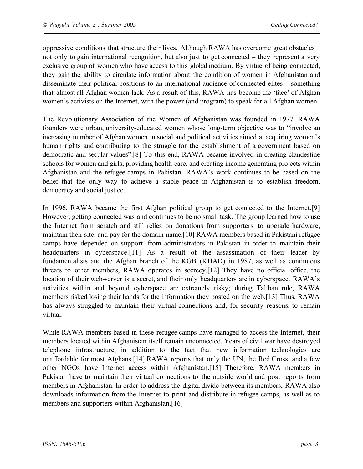oppressive conditions that structure their lives. Although RAWA has overcome great obstacles – not only to gain international recognition, but also just to get connected – they represent a very exclusive group of women who have access to this global medium. By virtue of being connected, they gain the ability to circulate information about the condition of women in Afghanistan and disseminate their political positions to an international audience of connected elites – something that almost all Afghan women lack. As a result of this, RAWA has become the 'face' of Afghan women's activists on the Internet, with the power (and program) to speak for all Afghan women.

The Revolutionary Association of the Women of Afghanistan was founded in 1977. RAWA founders were urban, university-educated women whose long-term objective was to "involve an increasing number of Afghan women in social and political activities aimed at acquiring women's human rights and contributing to the struggle for the establishment of a government based on democratic and secular values".[8] To this end, RAWA became involved in creating clandestine schools for women and girls, providing health care, and creating income generating projects within Afghanistan and the refugee camps in Pakistan. RAWA's work continues to be based on the belief that the only way to achieve a stable peace in Afghanistan is to establish freedom, democracy and social justice.

In 1996, RAWA became the first Afghan political group to get connected to the Internet.[9] However, getting connected was and continues to be no small task. The group learned how to use the Internet from scratch and still relies on donations from supporters to upgrade hardware, maintain their site, and pay for the domain name.[10] RAWA members based in Pakistani refugee camps have depended on support from administrators in Pakistan in order to maintain their headquarters in cyberspace.<sup>[11]</sup> As a result of the assassination of their leader by fundamentalists and the Afghan branch of the KGB (KHAD) in 1987, as well as continuous threats to other members, RAWA operates in secrecy.[12] They have no official office, the location of their web-server is a secret, and their only headquarters are in cyberspace. RAWA's activities within and beyond cyberspace are extremely risky; during Taliban rule, RAWA members risked losing their hands for the information they posted on the web.[13] Thus, RAWA has always struggled to maintain their virtual connections and, for security reasons, to remain virtual.

While RAWA members based in these refugee camps have managed to access the Internet, their members located within Afghanistan itself remain unconnected. Years of civil war have destroyed telephone infrastructure, in addition to the fact that new information technologies are unaffordable for most Afghans.[14] RAWA reports that only the UN, the Red Cross, and a few other NGOs have Internet access within Afghanistan.[15] Therefore, RAWA members in Pakistan have to maintain their virtual connections to the outside world and post reports from members in Afghanistan. In order to address the digital divide between its members, RAWA also downloads information from the Internet to print and distribute in refugee camps, as well as to members and supporters within Afghanistan.<sup>[16]</sup>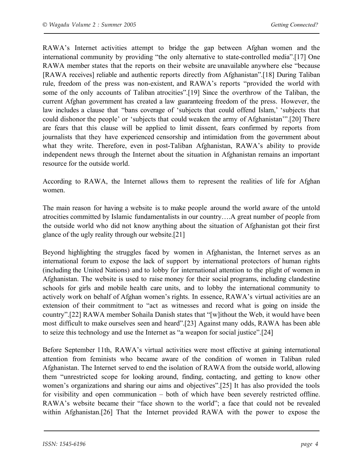RAWA's Internet activities attempt to bridge the gap between Afghan women and the international community by providing "the only alternative to state-controlled media".[17] One RAWA member states that the reports on their website are unavailable anywhere else "because [RAWA receives] reliable and authentic reports directly from Afghanistan".[18] During Taliban rule, freedom of the press was non-existent, and RAWA's reports "provided the world with some of the only accounts of Taliban atrocities".[19] Since the overthrow of the Taliban, the current Afghan government has created a law guaranteeing freedom of the press. However, the law includes a clause that "bans coverage of 'subjects that could offend Islam,' 'subjects that could dishonor the people' or 'subjects that could weaken the army of Afghanistan'".[20] There are fears that this clause will be applied to limit dissent, fears confirmed by reports from journalists that they have experienced censorship and intimidation from the government about what they write. Therefore, even in post-Taliban Afghanistan, RAWA's ability to provide independent news through the Internet about the situation in Afghanistan remains an important resource for the outside world.

According to RAWA, the Internet allows them to represent the realities of life for Afghan women.

The main reason for having a website is to make people around the world aware of the untold atrocities committed by Islamic fundamentalists in our country….A great number of people from the outside world who did not know anything about the situation of Afghanistan got their first glance of the ugly reality through our website.[21]

Beyond highlighting the struggles faced by women in Afghanistan, the Internet serves as an international forum to expose the lack of support by international protectors of human rights (including the United Nations) and to lobby for international attention to the plight of women in Afghanistan. The website is used to raise money for their social programs, including clandestine schools for girls and mobile health care units, and to lobby the international community to actively work on behalf of Afghan women's rights. In essence, RAWA's virtual activities are an extension of their commitment to "act as witnesses and record what is going on inside the country".[22] RAWA member Sohaila Danish states that "[w]ithout the Web, it would have been most difficult to make ourselves seen and heard".[23] Against many odds, RAWA has been able to seize this technology and use the Internet as "a weapon for social justice".[24]

Before September 11th, RAWA's virtual activities were most effective at gaining international attention from feminists who became aware of the condition of women in Taliban ruled Afghanistan. The Internet served to end the isolation of RAWA from the outside world, allowing them "unrestricted scope for looking around, finding, contacting, and getting to know other women's organizations and sharing our aims and objectives".[25] It has also provided the tools for visibility and open communication – both of which have been severely restricted offline. RAWA's website became their "face shown to the world"; a face that could not be revealed within Afghanistan.[26] That the Internet provided RAWA with the power to expose the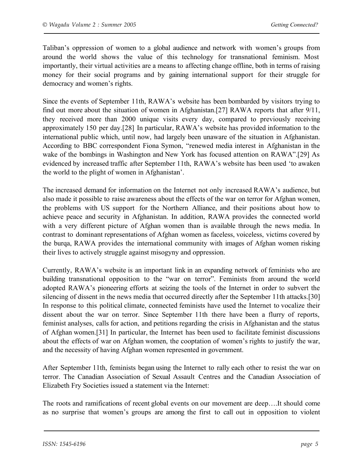Taliban's oppression of women to a global audience and network with women's groups from around the world shows the value of this technology for transnational feminism. Most importantly, their virtual activities are a means to affecting change offline, both in terms of raising money for their social programs and by gaining international support for their struggle for democracy and women's rights.

Since the events of September 11th, RAWA's website has been bombarded by visitors trying to find out more about the situation of women in Afghanistan.[27] RAWA reports that after 9/11, they received more than 2000 unique visits every day, compared to previously receiving approximately 150 per day.[28] In particular, RAWA's website has provided information to the international public which, until now, had largely been unaware of the situation in Afghanistan. According to BBC correspondent Fiona Symon, "renewed media interest in Afghanistan in the wake of the bombings in Washington and New York has focused attention on RAWA".[29] As evidenced by increased traffic after September 11th, RAWA's website has been used 'to awaken the world to the plight of women in Afghanistan'.

The increased demand for information on the Internet not only increased RAWA's audience, but also made it possible to raise awareness about the effects of the war on terror for Afghan women, the problems with US support for the Northern Alliance, and their positions about how to achieve peace and security in Afghanistan. In addition, RAWA provides the connected world with a very different picture of Afghan women than is available through the news media. In contrast to dominant representations of Afghan women as faceless, voiceless, victims covered by the burqa, RAWA provides the international community with images of Afghan women risking their lives to actively struggle against misogyny and oppression.

Currently, RAWA's website is an important link in an expanding network of feminists who are building transnational opposition to the "war on terror". Feminists from around the world adopted RAWA's pioneering efforts at seizing the tools of the Internet in order to subvert the silencing of dissent in the news media that occurred directly after the September 11th attacks.[30] In response to this political climate, connected feminists have used the Internet to vocalize their dissent about the war on terror. Since September 11th there have been a flurry of reports, feminist analyses, calls for action, and petitions regarding the crisis in Afghanistan and the status of Afghan women.[31] In particular, the Internet has been used to facilitate feminist discussions about the effects of war on Afghan women, the cooptation of women's rights to justify the war, and the necessity of having Afghan women represented in government.

After September 11th, feminists began using the Internet to rally each other to resist the war on terror. The Canadian Association of Sexual Assault Centres and the Canadian Association of Elizabeth Fry Societies issued a statement via the Internet:

The roots and ramifications of recent global events on our movement are deep….It should come as no surprise that women's groups are among the first to call out in opposition to violent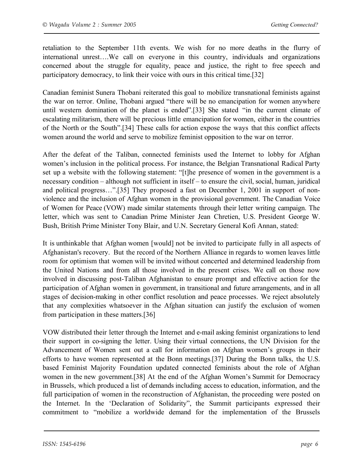retaliation to the September 11th events. We wish for no more deaths in the flurry of international unrest….We call on everyone in this country, individuals and organizations concerned about the struggle for equality, peace and justice, the right to free speech and participatory democracy, to link their voice with ours in this critical time.[32]

Canadian feminist Sunera Thobani reiterated this goal to mobilize transnational feminists against the war on terror. Online, Thobani argued "there will be no emancipation for women anywhere until western domination of the planet is ended".[33] She stated "in the current climate of escalating militarism, there will be precious little emancipation for women, either in the countries of the North or the South".[34] These calls for action expose the ways that this conflict affects women around the world and serve to mobilize feminist opposition to the war on terror.

After the defeat of the Taliban, connected feminists used the Internet to lobby for Afghan women's inclusion in the political process. For instance, the Belgian Transnational Radical Party set up a website with the following statement: "[t]he presence of women in the government is a necessary condition – although not sufficient in itself – to ensure the civil, social, human, juridical and political progress…".[35] They proposed a fast on December 1, 2001 in support of nonviolence and the inclusion of Afghan women in the provisional government. The Canadian Voice of Women for Peace (VOW) made similar statements through their letter writing campaign. The letter, which was sent to Canadian Prime Minister Jean Chretien, U.S. President George W. Bush, British Prime Minister Tony Blair, and U.N. Secretary General Kofi Annan, stated:

It is unthinkable that Afghan women [would] not be invited to participate fully in all aspects of Afghanistan's recovery. But the record of the Northern Alliance in regards to women leaves little room for optimism that women will be invited without concerted and determined leadership from the United Nations and from all those involved in the present crises. We call on those now involved in discussing post-Taliban Afghanistan to ensure prompt and effective action for the participation of Afghan women in government, in transitional and future arrangements, and in all stages of decision-making in other conflict resolution and peace processes. We reject absolutely that any complexities whatsoever in the Afghan situation can justify the exclusion of women from participation in these matters.[36]

VOW distributed their letter through the Internet and e-mail asking feminist organizations to lend their support in co-signing the letter. Using their virtual connections, the UN Division for the Advancement of Women sent out a call for information on Afghan women's groups in their efforts to have women represented at the Bonn meetings.[37] During the Bonn talks, the U.S. based Feminist Majority Foundation updated connected feminists about the role of Afghan women in the new government.[38] At the end of the Afghan Women's Summit for Democracy in Brussels, which produced a list of demands including access to education, information, and the full participation of women in the reconstruction of Afghanistan, the proceeding were posted on the Internet. In the 'Declaration of Solidarity", the Summit participants expressed their commitment to "mobilize a worldwide demand for the implementation of the Brussels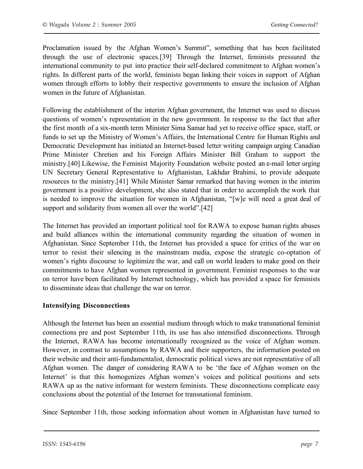Proclamation issued by the Afghan Women's Summit", something that has been facilitated through the use of electronic spaces.[39] Through the Internet, feminists pressured the international community to put into practice their self-declared commitment to Afghan women's rights. In different parts of the world, feminists began linking their voices in support of Afghan women through efforts to lobby their respective governments to ensure the inclusion of Afghan women in the future of Afghanistan.

Following the establishment of the interim Afghan government, the Internet was used to discuss questions of women's representation in the new government. In response to the fact that after the first month of a six-month term Minister Sima Samar had yet to receive office space, staff, or funds to set up the Ministry of Women's Affairs, the International Centre for Human Rights and Democratic Development has initiated an Internet-based letter writing campaign urging Canadian Prime Minister Chretien and his Foreign Affairs Minister Bill Graham to support the ministry.[40] Likewise, the Feminist Majority Foundation website posted an e-mail letter urging UN Secretary General Representative to Afghanistan, Lakhdar Brahimi, to provide adequate resources to the ministry.[41] While Minister Samar remarked that having women in the interim government is a positive development, she also stated that in order to accomplish the work that is needed to improve the situation for women in Afghanistan, "[w]e will need a great deal of support and solidarity from women all over the world".<sup>[42]</sup>

The Internet has provided an important political tool for RAWA to expose human rights abuses and build alliances within the international community regarding the situation of women in Afghanistan. Since September 11th, the Internet has provided a space for critics of the war on terror to resist their silencing in the mainstream media, expose the strategic co-optation of women's rights discourse to legitimize the war, and call on world leaders to make good on their commitments to have Afghan women represented in government. Feminist responses to the war on terror have been facilitated by Internet technology, which has provided a space for feminists to disseminate ideas that challenge the war on terror.

#### **Intensifying Disconnections**

Although the Internet has been an essential medium through which to make transnational feminist connections pre and post September 11th, its use has also intensified disconnections. Through the Internet, RAWA has become internationally recognized as the voice of Afghan women. However, in contrast to assumptions by RAWA and their supporters, the information posted on their website and their anti-fundamentalist, democratic political views are not representative of all Afghan women. The danger of considering RAWA to be 'the face of Afghan women on the Internet' is that this homogenizes Afghan women's voices and political positions and sets RAWA up as the native informant for western feminists. These disconnections complicate easy conclusions about the potential of the Internet for transnational feminism.

Since September 11th, those seeking information about women in Afghanistan have turned to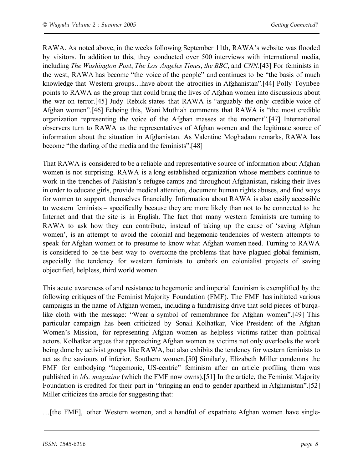RAWA. As noted above, in the weeks following September 11th, RAWA's website was flooded by visitors. In addition to this, they conducted over 500 interviews with international media, including *The Washington Post*, *The Los Angeles Times*, *the BBC*, and *CNN*.[43] For feminists in the west, RAWA has become "the voice of the people" and continues to be "the basis of much knowledge that Western groups…have about the atrocities in Afghanistan".[44] Polly Toynbee points to RAWA as the group that could bring the lives of Afghan women into discussions about the war on terror.[45] Judy Rebick states that RAWA is "arguably the only credible voice of Afghan women".[46] Echoing this, Wani Muthiah comments that RAWA is "the most credible organization representing the voice of the Afghan masses at the moment".[47] International observers turn to RAWA as the representatives of Afghan women and the legitimate source of information about the situation in Afghanistan. As Valentine Moghadam remarks, RAWA has become "the darling of the media and the feminists".[48]

That RAWA is considered to be a reliable and representative source of information about Afghan women is not surprising. RAWA is a long established organization whose members continue to work in the trenches of Pakistan's refugee camps and throughout Afghanistan, risking their lives in order to educate girls, provide medical attention, document human rights abuses, and find ways for women to support themselves financially. Information about RAWA is also easily accessible to western feminists – specifically because they are more likely than not to be connected to the Internet and that the site is in English. The fact that many western feminists are turning to RAWA to ask how they can contribute, instead of taking up the cause of 'saving Afghan women', is an attempt to avoid the colonial and hegemonic tendencies of western attempts to speak for Afghan women or to presume to know what Afghan women need. Turning to RAWA is considered to be the best way to overcome the problems that have plagued global feminism, especially the tendency for western feminists to embark on colonialist projects of saving objectified, helpless, third world women.

This acute awareness of and resistance to hegemonic and imperial feminism is exemplified by the following critiques of the Feminist Majority Foundation (FMF). The FMF has initiated various campaigns in the name of Afghan women, including a fundraising drive that sold pieces of burqalike cloth with the message: "Wear a symbol of remembrance for Afghan women".[49] This particular campaign has been criticized by Sonali Kolhatkar, Vice President of the Afghan Women's Mission, for representing Afghan women as helpless victims rather than political actors. Kolhatkar argues that approaching Afghan women as victims not only overlooks the work being done by activist groups like RAWA, but also exhibits the tendency for western feminists to act as the saviours of inferior, Southern women.[50] Similarly, Elizabeth Miller condemns the FMF for embodying "hegemonic, US-centric" feminism after an article profiling them was published in *Ms. magazine* (which the FMF now owns).[51] In the article, the Feminist Majority Foundation is credited for their part in "bringing an end to gender apartheid in Afghanistan".[52] Miller criticizes the article for suggesting that:

…[the FMF], other Western women, and a handful of expatriate Afghan women have single-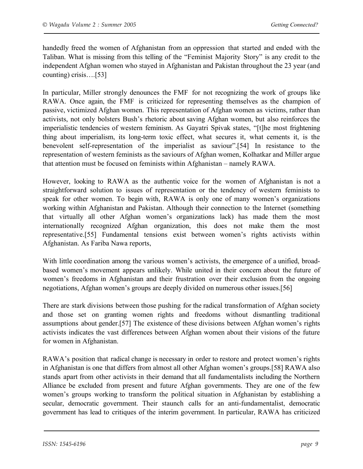handedly freed the women of Afghanistan from an oppression that started and ended with the Taliban. What is missing from this telling of the "Feminist Majority Story" is any credit to the independent Afghan women who stayed in Afghanistan and Pakistan throughout the 23 year (and counting) crisis….[53]

In particular, Miller strongly denounces the FMF for not recognizing the work of groups like RAWA. Once again, the FMF is criticized for representing themselves as the champion of passive, victimized Afghan women. This representation of Afghan women as victims, rather than activists, not only bolsters Bush's rhetoric about saving Afghan women, but also reinforces the imperialistic tendencies of western feminism. As Gayatri Spivak states, "[t]he most frightening thing about imperialism, its long-term toxic effect, what secures it, what cements it, is the benevolent self-representation of the imperialist as saviour".[54] In resistance to the representation of western feminists as the saviours of Afghan women, Kolhatkar and Miller argue that attention must be focused on feminists within Afghanistan – namely RAWA.

However, looking to RAWA as the authentic voice for the women of Afghanistan is not a straightforward solution to issues of representation or the tendency of western feminists to speak for other women. To begin with, RAWA is only one of many women's organizations working within Afghanistan and Pakistan. Although their connection to the Internet (something that virtually all other Afghan women's organizations lack) has made them the most internationally recognized Afghan organization, this does not make them the most representative.[55] Fundamental tensions exist between women's rights activists within Afghanistan. As Fariba Nawa reports,

With little coordination among the various women's activists, the emergence of a unified, broadbased women's movement appears unlikely. While united in their concern about the future of women's freedoms in Afghanistan and their frustration over their exclusion from the ongoing negotiations, Afghan women's groups are deeply divided on numerous other issues.[56]

There are stark divisions between those pushing for the radical transformation of Afghan society and those set on granting women rights and freedoms without dismantling traditional assumptions about gender.[57] The existence of these divisions between Afghan women's rights activists indicates the vast differences between Afghan women about their visions of the future for women in Afghanistan.

RAWA's position that radical change is necessary in order to restore and protect women's rights in Afghanistan is one that differs from almost all other Afghan women's groups.[58] RAWA also stands apart from other activists in their demand that all fundamentalists including the Northern Alliance be excluded from present and future Afghan governments. They are one of the few women's groups working to transform the political situation in Afghanistan by establishing a secular, democratic government. Their staunch calls for an anti-fundamentalist, democratic government has lead to critiques of the interim government. In particular, RAWA has criticized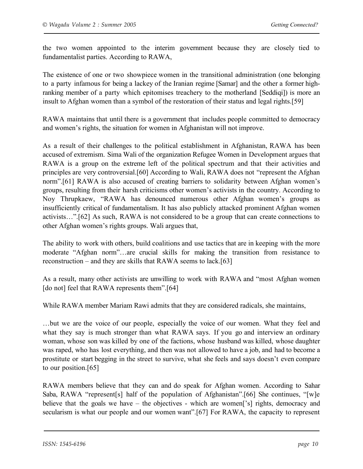the two women appointed to the interim government because they are closely tied to fundamentalist parties. According to RAWA,

The existence of one or two showpiece women in the transitional administration (one belonging to a party infamous for being a lackey of the Iranian regime [Samar] and the other a former highranking member of a party which epitomises treachery to the motherland [Seddiqi]) is more an insult to Afghan women than a symbol of the restoration of their status and legal rights.[59]

RAWA maintains that until there is a government that includes people committed to democracy and women's rights, the situation for women in Afghanistan will not improve.

As a result of their challenges to the political establishment in Afghanistan, RAWA has been accused of extremism. Sima Wali of the organization Refugee Women in Development argues that RAWA is a group on the extreme left of the political spectrum and that their activities and principles are very controversial.[60] According to Wali, RAWA does not "represent the Afghan norm".[61] RAWA is also accused of creating barriers to solidarity between Afghan women's groups, resulting from their harsh criticisms other women's activists in the country. According to Noy Thrupkaew, "RAWA has denounced numerous other Afghan women's groups as insufficiently critical of fundamentalism. It has also publicly attacked prominent Afghan women activists…".[62] As such, RAWA is not considered to be a group that can create connections to other Afghan women's rights groups. Wali argues that,

The ability to work with others, build coalitions and use tactics that are in keeping with the more moderate "Afghan norm"…are crucial skills for making the transition from resistance to reconstruction – and they are skills that RAWA seems to lack.[63]

As a result, many other activists are unwilling to work with RAWA and "most Afghan women [do not] feel that RAWA represents them".[64]

While RAWA member Mariam Rawi admits that they are considered radicals, she maintains,

…but we are the voice of our people, especially the voice of our women. What they feel and what they say is much stronger than what RAWA says. If you go and interview an ordinary woman, whose son was killed by one of the factions, whose husband was killed, whose daughter was raped, who has lost everything, and then was not allowed to have a job, and had to become a prostitute or start begging in the street to survive, what she feels and says doesn't even compare to our position.[65]

RAWA members believe that they can and do speak for Afghan women. According to Sahar Saba, RAWA "represent[s] half of the population of Afghanistan".[66] She continues, "[w]e believe that the goals we have – the objectives - which are women['s] rights, democracy and secularism is what our people and our women want".[67] For RAWA, the capacity to represent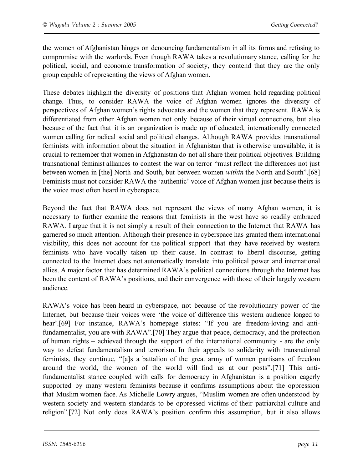the women of Afghanistan hinges on denouncing fundamentalism in all its forms and refusing to compromise with the warlords. Even though RAWA takes a revolutionary stance, calling for the political, social, and economic transformation of society, they contend that they are the only group capable of representing the views of Afghan women.

These debates highlight the diversity of positions that Afghan women hold regarding political change. Thus, to consider RAWA the voice of Afghan women ignores the diversity of perspectives of Afghan women's rights advocates and the women that they represent. RAWA is differentiated from other Afghan women not only because of their virtual connections, but also because of the fact that it is an organization is made up of educated, internationally connected women calling for radical social and political changes. Although RAWA provides transnational feminists with information about the situation in Afghanistan that is otherwise unavailable, it is crucial to remember that women in Afghanistan do not all share their political objectives. Building transnational feminist alliances to contest the war on terror "must reflect the differences not just between women in [the] North and South, but between women *within* the North and South".[68] Feminists must not consider RAWA the 'authentic' voice of Afghan women just because theirs is the voice most often heard in cyberspace.

Beyond the fact that RAWA does not represent the views of many Afghan women, it is necessary to further examine the reasons that feminists in the west have so readily embraced RAWA. I argue that it is not simply a result of their connection to the Internet that RAWA has garnered so much attention. Although their presence in cyberspace has granted them international visibility, this does not account for the political support that they have received by western feminists who have vocally taken up their cause. In contrast to liberal discourse, getting connected to the Internet does not automatically translate into political power and international allies. A major factor that has determined RAWA's political connections through the Internet has been the content of RAWA's positions, and their convergence with those of their largely western audience.

RAWA's voice has been heard in cyberspace, not because of the revolutionary power of the Internet, but because their voices were 'the voice of difference this western audience longed to hear'.<sup>[69]</sup> For instance, RAWA's homepage states: "If you are freedom-loving and antifundamentalist, you are with RAWA".[70] They argue that peace, democracy, and the protection of human rights – achieved through the support of the international community - are the only way to defeat fundamentalism and terrorism. In their appeals to solidarity with transnational feminists, they continue, "[a]s a battalion of the great army of women partisans of freedom around the world, the women of the world will find us at our posts".[71] This antifundamentalist stance coupled with calls for democracy in Afghanistan is a position eagerly supported by many western feminists because it confirms assumptions about the oppression that Muslim women face. As Michelle Lowry argues, "Muslim women are often understood by western society and western standards to be oppressed victims of their patriarchal culture and religion".[72] Not only does RAWA's position confirm this assumption, but it also allows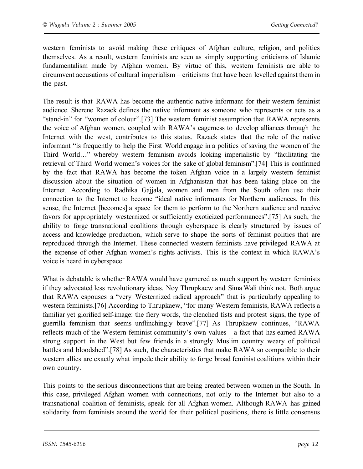western feminists to avoid making these critiques of Afghan culture, religion, and politics themselves. As a result, western feminists are seen as simply supporting criticisms of Islamic fundamentalism made by Afghan women. By virtue of this, western feminists are able to circumvent accusations of cultural imperialism – criticisms that have been levelled against them in the past.

The result is that RAWA has become the authentic native informant for their western feminist audience. Sherene Razack defines the native informant as someone who represents or acts as a "stand-in" for "women of colour".[73] The western feminist assumption that RAWA represents the voice of Afghan women, coupled with RAWA's eagerness to develop alliances through the Internet with the west, contributes to this status. Razack states that the role of the native informant "is frequently to help the First World engage in a politics of saving the women of the Third World…" whereby western feminism avoids looking imperialistic by "facilitating the retrieval of Third World women's voices for the sake of global feminism".[74] This is confirmed by the fact that RAWA has become the token Afghan voice in a largely western feminist discussion about the situation of women in Afghanistan that has been taking place on the Internet. According to Radhika Gajjala, women and men from the South often use their connection to the Internet to become "ideal native informants for Northern audiences. In this sense, the Internet [becomes] a space for them to perform to the Northern audience and receive favors for appropriately westernized or sufficiently exoticized performances".[75] As such, the ability to forge transnational coalitions through cyberspace is clearly structured by issues of access and knowledge production, which serve to shape the sorts of feminist politics that are reproduced through the Internet. These connected western feminists have privileged RAWA at the expense of other Afghan women's rights activists. This is the context in which RAWA's voice is heard in cyberspace.

What is debatable is whether RAWA would have garnered as much support by western feminists if they advocated less revolutionary ideas. Noy Thrupkaew and Sima Wali think not. Both argue that RAWA espouses a "very Westernized radical approach" that is particularly appealing to western feminists.[76] According to Thrupkaew, "for many Western feminists, RAWA reflects a familiar yet glorified self-image: the fiery words, the clenched fists and protest signs, the type of guerrilla feminism that seems unflinchingly brave".[77] As Thrupkaew continues, "RAWA reflects much of the Western feminist community's own values – a fact that has earned RAWA strong support in the West but few friends in a strongly Muslim country weary of political battles and bloodshed".[78] As such, the characteristics that make RAWA so compatible to their western allies are exactly what impede their ability to forge broad feminist coalitions within their own country.

This points to the serious disconnections that are being created between women in the South. In this case, privileged Afghan women with connections, not only to the Internet but also to a transnational coalition of feminists, speak for all Afghan women. Although RAWA has gained solidarity from feminists around the world for their political positions, there is little consensus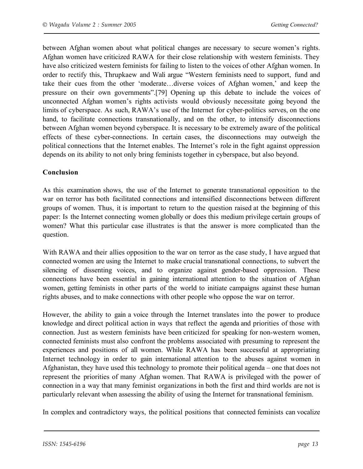between Afghan women about what political changes are necessary to secure women's rights. Afghan women have criticized RAWA for their close relationship with western feminists. They have also criticized western feminists for failing to listen to the voices of other Afghan women. In order to rectify this, Thrupkaew and Wali argue "Western feminists need to support, fund and take their cues from the other 'moderate…diverse voices of Afghan women,' and keep the pressure on their own governments".[79] Opening up this debate to include the voices of unconnected Afghan women's rights activists would obviously necessitate going beyond the limits of cyberspace. As such, RAWA's use of the Internet for cyber-politics serves, on the one hand, to facilitate connections transnationally, and on the other, to intensify disconnections between Afghan women beyond cyberspace. It is necessary to be extremely aware of the political effects of these cyber-connections. In certain cases, the disconnections may outweigh the political connections that the Internet enables. The Internet's role in the fight against oppression depends on its ability to not only bring feminists together in cyberspace, but also beyond.

#### **Conclusion**

As this examination shows, the use of the Internet to generate transnational opposition to the war on terror has both facilitated connections and intensified disconnections between different groups of women. Thus, it is important to return to the question raised at the beginning of this paper: Is the Internet connecting women globally or does this medium privilege certain groups of women? What this particular case illustrates is that the answer is more complicated than the question.

With RAWA and their allies opposition to the war on terror as the case study, I have argued that connected women are using the Internet to make crucial transnational connections, to subvert the silencing of dissenting voices, and to organize against gender-based oppression. These connections have been essential in gaining international attention to the situation of Afghan women, getting feminists in other parts of the world to initiate campaigns against these human rights abuses, and to make connections with other people who oppose the war on terror.

However, the ability to gain a voice through the Internet translates into the power to produce knowledge and direct political action in ways that reflect the agenda and priorities of those with connection. Just as western feminists have been criticized for speaking for non-western women, connected feminists must also confront the problems associated with presuming to represent the experiences and positions of all women. While RAWA has been successful at appropriating Internet technology in order to gain international attention to the abuses against women in Afghanistan, they have used this technology to promote their political agenda – one that does not represent the priorities of many Afghan women. That RAWA is privileged with the power of connection in a way that many feminist organizations in both the first and third worlds are not is particularly relevant when assessing the ability of using the Internet for transnational feminism.

In complex and contradictory ways, the political positions that connected feminists can vocalize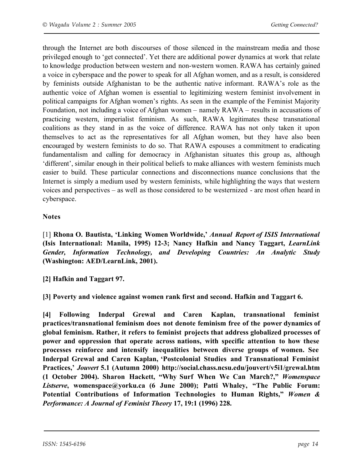through the Internet are both discourses of those silenced in the mainstream media and those privileged enough to 'get connected'. Yet there are additional power dynamics at work that relate to knowledge production between western and non-western women. RAWA has certainly gained a voice in cyberspace and the power to speak for all Afghan women, and as a result, is considered by feminists outside Afghanistan to be the authentic native informant. RAWA's role as the authentic voice of Afghan women is essential to legitimizing western feminist involvement in political campaigns for Afghan women's rights. As seen in the example of the Feminist Majority Foundation, not including a voice of Afghan women – namely RAWA – results in accusations of practicing western, imperialist feminism. As such, RAWA legitimates these transnational coalitions as they stand in as the voice of difference. RAWA has not only taken it upon themselves to act as the representatives for all Afghan women, but they have also been encouraged by western feminists to do so. That RAWA espouses a commitment to eradicating fundamentalism and calling for democracy in Afghanistan situates this group as, although 'different', similar enough in their political beliefs to make alliances with western feminists much easier to build. These particular connections and disconnections nuance conclusions that the Internet is simply a medium used by western feminists, while highlighting the ways that western voices and perspectives – as well as those considered to be westernized - are most often heard in cyberspace.

## **Notes**

[1] **Rhona O. Bautista, 'Linking Women Worldwide,'** *Annual Report of ISIS International*  **(Isis International: Manila, 1995) 12-3; Nancy Hafkin and Nancy Taggart,** *LearnLink Gender, Information Technology, and Developing Countries: An Analytic Study*  **(Washington: AED/LearnLink, 2001).**

**[2] Hafkin and Taggart 97.**

**[3] Poverty and violence against women rank first and second. Hafkin and Taggart 6.**

**[4] Following Inderpal Grewal and Caren Kaplan, transnational feminist practices/transnational feminism does not denote feminism free of the power dynamics of global feminism. Rather, it refers to feminist projects that address globalized processes of power and oppression that operate across nations, with specific attention to how these processes reinforce and intensify inequalities between diverse groups of women. See Inderpal Grewal and Caren Kaplan, 'Postcolonial Studies and Transnational Feminist Practices,'** *Jouvert* **5.1 (Autumn 2000) http://social.chass.ncsu.edu/jouvert/v5i1/grewal.htm (1 October 2004). Sharon Hackett, "Why Surf When We Can March?,"** *Womenspace Listserve***, womenspace@yorku.ca (6 June 2000); Patti Whaley, "The Public Forum: Potential Contributions of Information Technologies to Human Rights,"** *Women & Performance: A Journal of Feminist Theory* **17, 19:1 (1996) 228.**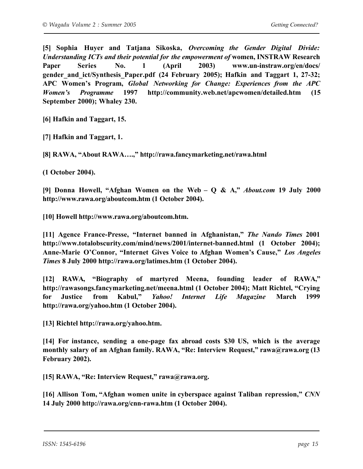**[5] Sophia Huyer and Tatjana Sikoska,** *Overcoming the Gender Digital Divide: Understanding ICTs and their potential for the empowerment of* **women, INSTRAW Research Paper Series No. 1 (April 2003) www.un-instraw.org/en/docs/ gender\_and\_ict/Synthesis\_Paper.pdf (24 February 2005); Hafkin and Taggart 1, 27-32; APC Women's Program,** *Global Networking for Change: Experiences from the APC Women's Programme* **1997 http://community.web.net/apcwomen/detailed.htm (15 September 2000); Whaley 230.**

**[6] Hafkin and Taggart, 15.**

**[7] Hafkin and Taggart, 1.**

**[8] RAWA, "About RAWA….," http://rawa.fancymarketing.net/rawa.html**

**(1 October 2004).**

**[9] Donna Howell, "Afghan Women on the Web – Q & A,"** *About.com* **19 July 2000 http://www.rawa.org/aboutcom.htm (1 October 2004).**

**[10] Howell http://www.rawa.org/aboutcom.htm.**

**[11] Agence France-Presse, "Internet banned in Afghanistan,"** *The Nando Times* **2001 http://www.totalobscurity.com/mind/news/2001/internet-banned.html (1 October 2004); Anne-Marie O'Connor, "Internet Gives Voice to Afghan Women's Cause,"** *Los Angeles Times* **8 July 2000 http://rawa.org/latimes.htm (1 October 2004).**

**[12] RAWA, "Biography of martyred Meena, founding leader of RAWA," http://rawasongs.fancymarketing.net/meena.html (1 October 2004); Matt Richtel, "Crying for Justice from Kabul,"** *Yahoo! Internet Life Magazine* **March 1999 http://rawa.org/yahoo.htm (1 October 2004).**

**[13] Richtel http://rawa.org/yahoo.htm.**

**[14] For instance, sending a one-page fax abroad costs \$30 US, which is the average**  monthly salary of an Afghan family. RAWA, "Re: Interview Request," rawa@rawa.org (13 **February 2002).**

**[15] RAWA, "Re: Interview Request," rawa@rawa.org.**

**[16] Allison Tom, "Afghan women unite in cyberspace against Taliban repression,"** *CNN*  **14 July 2000 http://rawa.org/cnn-rawa.htm (1 October 2004).**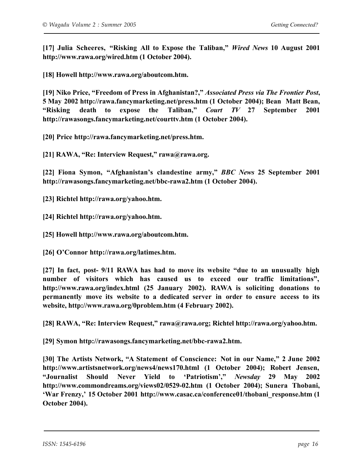**[17] Julia Scheeres, "Risking All to Expose the Taliban,"** *Wired News* **10 August 2001 http://www.rawa.org/wired.htm (1 October 2004).**

**[18] Howell http://www.rawa.org/aboutcom.htm.**

**[19] Niko Price, "Freedom of Press in Afghanistan?,"** *Associated Press via The Frontier Post***, 5 May 2002 http://rawa.fancymarketing.net/press.htm (1 October 2004); Bean Matt Bean, "Risking death to expose the Taliban,"** *Court TV* **27 September 2001 http://rawasongs.fancymarketing.net/courttv.htm (1 October 2004).**

**[20] Price http://rawa.fancymarketing.net/press.htm.**

**[21] RAWA, "Re: Interview Request," rawa@rawa.org.**

**[22] Fiona Symon, "Afghanistan's clandestine army,"** *BBC News* **25 September 2001 http://rawasongs.fancymarketing.net/bbc-rawa2.htm (1 October 2004).**

**[23] Richtel http://rawa.org/yahoo.htm.**

**[24] Richtel http://rawa.org/yahoo.htm.**

**[25] Howell http://www.rawa.org/aboutcom.htm.**

**[26] O'Connor http://rawa.org/latimes.htm.**

**[27] In fact, post- 9/11 RAWA has had to move its website "due to an unusually high number of visitors which has caused us to exceed our traffic limitations", http://www.rawa.org/index.html (25 January 2002). RAWA is soliciting donations to permanently move its website to a dedicated server in order to ensure access to its website, http://www.rawa.org/0problem.htm (4 February 2002).**

**[28] RAWA, "Re: Interview Request," rawa@rawa.org; Richtel http://rawa.org/yahoo.htm.**

**[29] Symon http://rawasongs.fancymarketing.net/bbc-rawa2.htm.**

**[30] The Artists Network, "A Statement of Conscience: Not in our Name," 2 June 2002 http://www.artistsnetwork.org/news4/news170.html (1 October 2004); Robert Jensen, "Journalist Should Never Yield to 'Patriotism',"** *Newsday* **29 May 2002 http://www.commondreams.org/views02/0529-02.htm (1 October 2004); Sunera Thobani, 'War Frenzy,' 15 October 2001 http://www.casac.ca/conference01/thobani\_response.htm (1 October 2004).**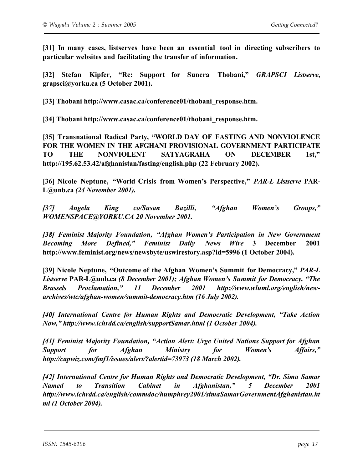**[31] In many cases, listserves have been an essential tool in directing subscribers to particular websites and facilitating the transfer of information.**

**[32] Stefan Kipfer, "Re: Support for Sunera Thobani,"** *GRAPSCI Listserve***, grapsci@yorku.ca (5 October 2001).**

**[33] Thobani http://www.casac.ca/conference01/thobani\_response.htm.**

**[34] Thobani http://www.casac.ca/conference01/thobani\_response.htm.**

**[35] Transnational Radical Party, "WORLD DAY OF FASTING AND NONVIOLENCE FOR THE WOMEN IN THE AFGHANI PROVISIONAL GOVERNMENT PARTICIPATE TO THE NONVIOLENT SATYAGRAHA ON DECEMBER 1st," http://195.62.53.42/afghanistan/fasting/english.php (22 February 2002).**

**[36] Nicole Neptune, "World Crisis from Women's Perspective,"** *PAR-L Listserve* **PAR-L@unb.ca** *(24 November 2001).*

*[37] Angela King co/Susan Bazilli, "Afghan Women's Groups," WOMENSPACE@YORKU.CA 20 November 2001.*

*[38] Feminist Majority Foundation, "Afghan Women's Participation in New Government Becoming More Defined," Feminist Daily News Wire* **3 December 2001 http://www.feminist.org/news/newsbyte/uswirestory.asp?id=5996 (1 October 2004).**

**[39] Nicole Neptune, "Outcome of the Afghan Women's Summit for Democracy,"** *PAR-L Listserve* **PAR-L@unb.ca** *(8 December 2001); Afghan Women's Summit for Democracy, "The Brussels Proclamation," 11 December 2001 http://www.wluml.org/english/newarchives/wtc/afghan-women/summit-democracy.htm (16 July 2002).*

*[40] International Centre for Human Rights and Democratic Development, "Take Action Now," http://www.ichrdd.ca/english/supportSamar.html (1 October 2004).*

*[41] Feminist Majority Foundation, "Action Alert: Urge United Nations Support for Afghan Support for Afghan Ministry for Women's Affairs," http://capwiz.com/fmf1/issues/alert/?alertid=73973 (18 March 2002).*

*[42] International Centre for Human Rights and Democratic Development, "Dr. Sima Samar Named to Transition Cabinet in Afghanistan," 5 December 2001 http://www.ichrdd.ca/english/commdoc/humphrey2001/simaSamarGovernmentAfghanistan.ht ml (1 October 2004).*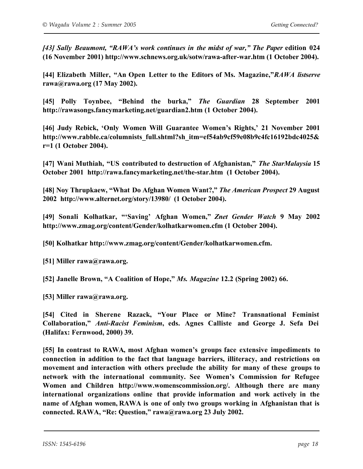*[43] Sally Beaumont, "RAWA's work continues in the midst of war," The Paper* **edition 024 (16 November 2001) http://www.schnews.org.uk/sotw/rawa-after-war.htm (1 October 2004).**

**[44] Elizabeth Miller, "An Open Letter to the Editors of Ms. Magazine,"***RAWA listserve* **rawa@rawa.org (17 May 2002).**

**[45] Polly Toynbee, "Behind the burka,"** *The Guardian* **28 September 2001 http://rawasongs.fancymarketing.net/guardian2.htm (1 October 2004).**

**[46] Judy Rebick, 'Only Women Will Guarantee Women's Rights,' 21 November 2001 http://www.rabble.ca/columnists\_full.shtml?sh\_itm=ef54ab9cf59e08b9c4fc16192bdc4025& r=1 (1 October 2004).**

**[47] Wani Muthiah, "US contributed to destruction of Afghanistan,"** *The StarMalaysia* **15 October 2001 http://rawa.fancymarketing.net/the-star.htm (1 October 2004).**

**[48] Noy Thrupkaew, "What Do Afghan Women Want?,"** *The American Prospect* **29 August 2002 http://www.alternet.org/story/13980/ (1 October 2004).**

**[49] Sonali Kolhatkar, "'Saving' Afghan Women,"** *Znet Gender Watch* **9 May 2002 http://www.zmag.org/content/Gender/kolhatkarwomen.cfm (1 October 2004).**

**[50] Kolhatkar http://www.zmag.org/content/Gender/kolhatkarwomen.cfm.**

**[51] Miller rawa@rawa.org.**

**[52] Janelle Brown, "A Coalition of Hope,"** *Ms. Magazine* **12.2 (Spring 2002) 66.**

**[53] Miller rawa@rawa.org.**

**[54] Cited in Sherene Razack, "Your Place or Mine? Transnational Feminist Collaboration,"** *Anti-Racist Feminism***, eds. Agnes Calliste and George J. Sefa Dei (Halifax: Fernwood, 2000) 39.**

**[55] In contrast to RAWA, most Afghan women's groups face extensive impediments to connection in addition to the fact that language barriers, illiteracy, and restrictions on movement and interaction with others preclude the ability for many of these groups to network with the international community. See Women's Commission for Refugee Women and Children http://www.womenscommission.org/. Although there are many international organizations online that provide information and work actively in the name of Afghan women, RAWA is one of only two groups working in Afghanistan that is connected. RAWA, "Re: Question," rawa@rawa.org 23 July 2002.**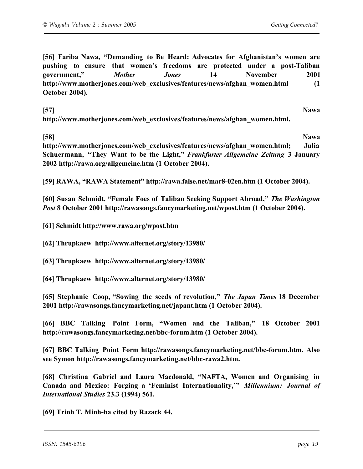**[56] Fariba Nawa, "Demanding to Be Heard: Advocates for Afghanistan's women are pushing to ensure that women's freedoms are protected under a post-Taliban government,"** *Mother Jones* **14 November 2001 http://www.motherjones.com/web\_exclusives/features/news/afghan\_women.html (1 October 2004).**

**[57] Nawa http://www.motherjones.com/web\_exclusives/features/news/afghan\_women.html.**

**[58] Nawa http://www.motherjones.com/web\_exclusives/features/news/afghan\_women.html; Julia Schuermann, "They Want to be the Light,"** *Frankfurter Allgemeine Zeitung* **3 January 2002 http://rawa.org/allgemeine.htm (1 October 2004).**

**[59] RAWA, "RAWA Statement" http://rawa.false.net/mar8-02en.htm (1 October 2004).**

**[60] Susan Schmidt, "Female Foes of Taliban Seeking Support Abroad,"** *The Washington Post* **8 October 2001 http://rawasongs.fancymarketing.net/wpost.htm (1 October 2004).**

**[61] Schmidt http://www.rawa.org/wpost.htm** 

**[62] Thrupkaew http://www.alternet.org/story/13980/**

**[63] Thrupkaew http://www.alternet.org/story/13980/**

**[64] Thrupkaew http://www.alternet.org/story/13980/**

**[65] Stephanie Coop, "Sowing the seeds of revolution,"** *The Japan Times* **18 December 2001 http://rawasongs.fancymarketing.net/japant.htm (1 October 2004).**

**[66] BBC Talking Point Form, "Women and the Taliban," 18 October 2001 http://rawasongs.fancymarketing.net/bbc-forum.htm (1 October 2004).**

**[67] BBC Talking Point Form http://rawasongs.fancymarketing.net/bbc-forum.htm. Also see Symon http://rawasongs.fancymarketing.net/bbc-rawa2.htm.**

**[68] Christina Gabriel and Laura Macdonald, "NAFTA, Women and Organising in Canada and Mexico: Forging a 'Feminist Internationality,'"** *Millennium: Journal of International Studies* **23.3 (1994) 561.**

**[69] Trinh T. Minh-ha cited by Razack 44.**